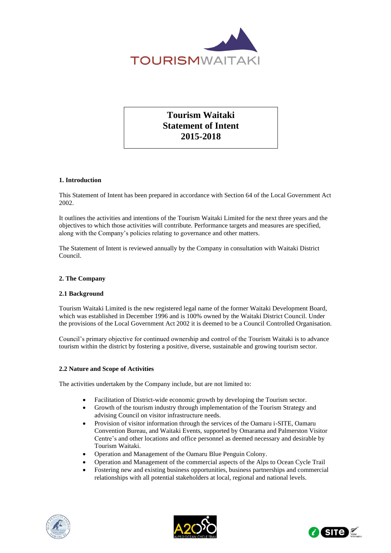

# **Tourism Waitaki Statement of Intent 2015-2018**

# **1. Introduction**

This Statement of Intent has been prepared in accordance with Section 64 of the Local Government Act 2002.

It outlines the activities and intentions of the Tourism Waitaki Limited for the next three years and the objectives to which those activities will contribute. Performance targets and measures are specified, along with the Company's policies relating to governance and other matters.

The Statement of Intent is reviewed annually by the Company in consultation with Waitaki District Council.

# **2. The Company**

# **2.1 Background**

Tourism Waitaki Limited is the new registered legal name of the former Waitaki Development Board, which was established in December 1996 and is 100% owned by the Waitaki District Council. Under the provisions of the Local Government Act 2002 it is deemed to be a Council Controlled Organisation.

Council's primary objective for continued ownership and control of the Tourism Waitaki is to advance tourism within the district by fostering a positive, diverse, sustainable and growing tourism sector.

## **2.2 Nature and Scope of Activities**

The activities undertaken by the Company include, but are not limited to:

- Facilitation of District-wide economic growth by developing the Tourism sector.
- Growth of the tourism industry through implementation of the Tourism Strategy and advising Council on visitor infrastructure needs.
- Provision of visitor information through the services of the Oamaru i-SITE, Oamaru Convention Bureau, and Waitaki Events, supported by Omarama and Palmerston Visitor Centre's and other locations and office personnel as deemed necessary and desirable by Tourism Waitaki.
- Operation and Management of the Oamaru Blue Penguin Colony.
- Operation and Management of the commercial aspects of the Alps to Ocean Cycle Trail
- Fostering new and existing business opportunities, business partnerships and commercial relationships with all potential stakeholders at local, regional and national levels.





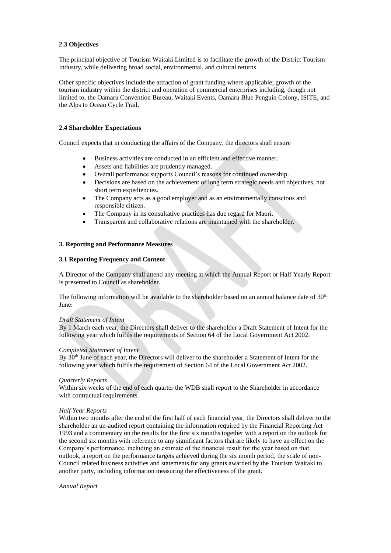## **2.3 Objectives**

The principal objective of Tourism Waitaki Limited is to facilitate the growth of the District Tourism Industry, while delivering broad social, environmental, and cultural returns.

Other specific objectives include the attraction of grant funding where applicable; growth of the tourism industry within the district and operation of commercial enterprises including, though not limited to, the Oamaru Convention Bureau, Waitaki Events, Oamaru Blue Penguin Colony, ISITE, and the Alps to Ocean Cycle Trail.

## **2.4 Shareholder Expectations**

Council expects that in conducting the affairs of the Company, the directors shall ensure

- Business activities are conducted in an efficient and effective manner.
- Assets and liabilities are prudently managed.
- Overall performance supports Council's reasons for continued ownership.
- Decisions are based on the achievement of long term strategic needs and objectives, not short term expediencies.
- The Company acts as a good employer and as an environmentally conscious and responsible citizen.
- The Company in its consultative practices has due regard for Maori.
- Transparent and collaborative relations are maintained with the shareholder.

## **3. Reporting and Performance Measures**

### **3.1 Reporting Frequency and Content**

A Director of the Company shall attend any meeting at which the Annual Report or Half Yearly Report is presented to Council as shareholder.

The following information will be available to the shareholder based on an annual balance date of  $30<sup>th</sup>$ June:

## *Draft Statement of Intent*

By 1 March each year, the Directors shall deliver to the shareholder a Draft Statement of Intent for the following year which fulfils the requirements of Section 64 of the Local Government Act 2002.

### *Completed Statement of Intent*

By 30<sup>th</sup> June of each year, the Directors will deliver to the shareholder a Statement of Intent for the following year which fulfils the requirement of Section 64 of the Local Government Act 2002.

### *Quarterly Reports*

Within six weeks of the end of each quarter the WDB shall report to the Shareholder in accordance with contractual requirements.

### *Half Year Reports*

Within two months after the end of the first half of each financial year, the Directors shall deliver to the shareholder an un-audited report containing the information required by the Financial Reporting Act 1993 and a commentary on the results for the first six months together with a report on the outlook for the second six months with reference to any significant factors that are likely to have an effect on the Company's performance, including an estimate of the financial result for the year based on that outlook, a report on the performance targets achieved during the six month period, the scale of non-Council related business activities and statements for any grants awarded by the Tourism Waitaki to another party, including information measuring the effectiveness of the grant.

*Annual Report*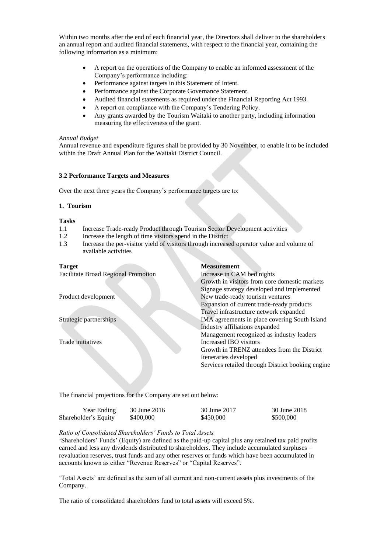Within two months after the end of each financial year, the Directors shall deliver to the shareholders an annual report and audited financial statements, with respect to the financial year, containing the following information as a minimum:

- A report on the operations of the Company to enable an informed assessment of the Company's performance including:
- Performance against targets in this Statement of Intent.
- Performance against the Corporate Governance Statement.
- Audited financial statements as required under the Financial Reporting Act 1993.
- A report on compliance with the Company's Tendering Policy.
- Any grants awarded by the Tourism Waitaki to another party, including information measuring the effectiveness of the grant.

#### *Annual Budget*

Annual revenue and expenditure figures shall be provided by 30 November, to enable it to be included within the Draft Annual Plan for the Waitaki District Council.

## **3.2 Performance Targets and Measures**

Over the next three years the Company's performance targets are to:

#### **1. Tourism**

## **Tasks**

- 1.1 Increase Trade-ready Product through Tourism Sector Development activities
- 1.2 Increase the length of time visitors spend in the District
- 1.3 Increase the per-visitor yield of visitors through increased operator value and volume of available activities

# **Target Measurement** Facilitate Broad Regional Promotion Increase in CAM bed nights Growth in visitors from core domestic markets Signage strategy developed and implemented Product development New trade-ready tourism ventures Expansion of current trade-ready products Travel infrastructure network expanded Strategic partnerships IMA agreements in place covering South Island Industry affiliations expanded Management recognized as industry leaders Trade initiatives Increased IBO visitors Growth in TRENZ attendees from the District Iteneraries developed Services retailed through District booking engine

The financial projections for the Company are set out below:

| Year Ending          | 30 June 2016 | 30 June 2017 | 30 June 2018 |
|----------------------|--------------|--------------|--------------|
| Shareholder's Equity | \$400,000    | \$450,000    | \$500,000    |

## *Ratio of Consolidated Shareholders' Funds to Total Assets*

'Shareholders' Funds' (Equity) are defined as the paid-up capital plus any retained tax paid profits earned and less any dividends distributed to shareholders. They include accumulated surpluses – revaluation reserves, trust funds and any other reserves or funds which have been accumulated in accounts known as either "Revenue Reserves" or "Capital Reserves".

'Total Assets' are defined as the sum of all current and non-current assets plus investments of the Company.

The ratio of consolidated shareholders fund to total assets will exceed 5%.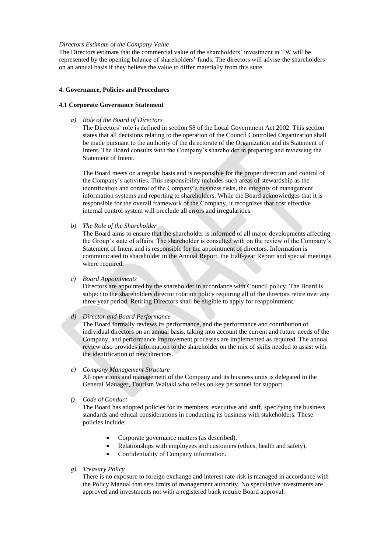### *Directors Estimate of the Company Value*

The Directors estimate that the commercial value of the shareholders' investment in TW will be represented by the opening balance of shareholders' funds. The directors will advise the shareholders on an annual basis if they believe the value to differ materially from this state.

#### **4. Governance, Policies and Procedures**

## **4.1 Corporate Governance Statement**

*a) Role of the Board of Directors*

The Directors' role is defined in section 58 of the Local Government Act 2002. This section states that all decisions relating to the operation of the Council Controlled Organization shall be made pursuant to the authority of the directorate of the Organization and its Statement of Intent. The Board consults with the Company's shareholder in preparing and reviewing the Statement of Intent.

The Board meets on a regular basis and is responsible for the proper direction and control of the Company's activities. This responsibility includes such areas of stewardship as the identification and control of the Company's business risks, the integrity of management information systems and reporting to shareholders. While the Board acknowledges that it is responsible for the overall framework of the Company, it recognizes that cost effective internal control system will preclude all errors and irregularities.

*b) The Role of the Shareholder*

The Board aims to ensure that the shareholder is informed of all major developments affecting the Group's state of affairs. The shareholder is consulted with on the review of the Company's Statement of Intent and is responsible for the appointment of directors. Information is communicated to shareholder in the Annual Report, the Half-year Report and special meetings where required.

*c) Board Appointments*

Directors are appointed by the shareholder in accordance with Council policy. The Board is subject to the shareholders director rotation policy requiring all of the directors retire over any three year period. Retiring Directors shall be eligible to apply for reappointment.

#### *d) Director and Board Performance*

The Board formally reviews its performance, and the performance and contribution of individual directors on an annual basis, taking into account the current and future needs of the Company, and performance improvement processes are implemented as required. The annual review also provides information to the shareholder on the mix of skills needed to assist with the identification of new directors.

### *e) Company Management Structure*

All operations and management of the Company and its business units is delegated to the General Manager, Tourism Waitaki who relies on key personnel for support.

*f) Code of Conduct*

The Board has adopted policies for its members, executive and staff, specifying the business standards and ethical considerations in conducting its business with stakeholders. These policies include:

- Corporate governance matters (as described).
- Relationships with employees and customers (ethics, health and safety).
- Confidentiality of Company information.
- *g) Treasury Policy*

There is no exposure to foreign exchange and interest rate risk is managed in accordance with the Policy Manual that sets limits of management authority. No speculative investments are approved and investments not with a registered bank require Board approval.